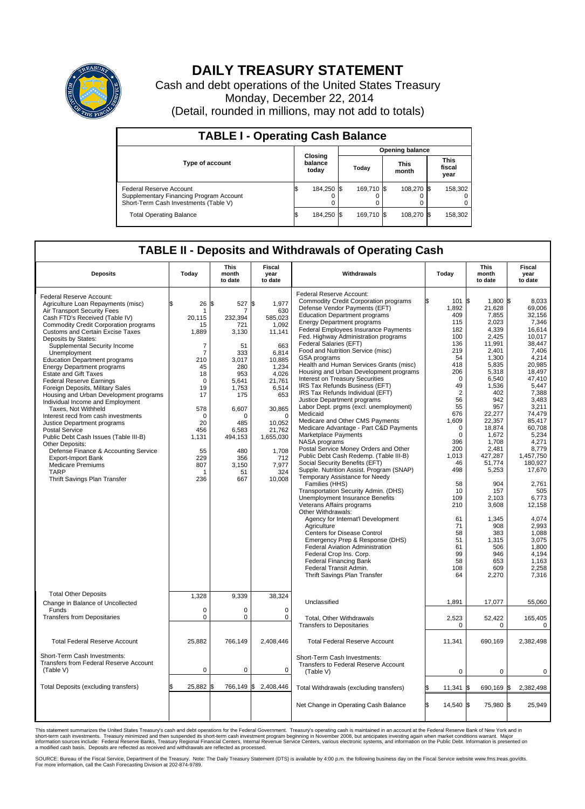

# **DAILY TREASURY STATEMENT**

Cash and debt operations of the United States Treasury Monday, December 22, 2014 (Detail, rounded in millions, may not add to totals)

| <b>TABLE I - Operating Cash Balance</b>                                                                     |     |                             |  |            |  |                      |  |                               |  |
|-------------------------------------------------------------------------------------------------------------|-----|-----------------------------|--|------------|--|----------------------|--|-------------------------------|--|
| <b>Opening balance</b>                                                                                      |     |                             |  |            |  |                      |  |                               |  |
| Type of account                                                                                             |     | Closing<br>balance<br>today |  | Today      |  | <b>This</b><br>month |  | <b>This</b><br>fiscal<br>year |  |
| Federal Reserve Account<br>Supplementary Financing Program Account<br>Short-Term Cash Investments (Table V) |     | 184,250 \$                  |  | 169.710 \$ |  | 108.270 \$           |  | 158,302                       |  |
| <b>Total Operating Balance</b>                                                                              | I\$ | 184,250 \$                  |  | 169,710 \$ |  | 108,270 \$           |  | 158,302                       |  |

## **TABLE II - Deposits and Withdrawals of Operating Cash**

|                                                         |                | <b>This</b>      | <b>Fiscal</b>       |                                                         |                | <b>This</b>       | <b>Fiscal</b>   |
|---------------------------------------------------------|----------------|------------------|---------------------|---------------------------------------------------------|----------------|-------------------|-----------------|
| <b>Deposits</b>                                         | Today          | month<br>to date | year<br>to date     | Withdrawals                                             | Today          | month<br>to date  | year<br>to date |
| Federal Reserve Account:                                |                |                  |                     | Federal Reserve Account:                                |                |                   |                 |
| Agriculture Loan Repayments (misc)                      | \$<br>26       | l\$<br>527 \$    | 1.977               | <b>Commodity Credit Corporation programs</b>            | 101<br>ß       | $1.800$ \\$<br>\$ | 8.033           |
| Air Transport Security Fees                             | -1             |                  | 630                 | Defense Vendor Payments (EFT)                           | 1,892          | 21,628            | 69.006          |
| Cash FTD's Received (Table IV)                          | 20,115         | 232,394          | 585,023             | <b>Education Department programs</b>                    | 409            | 7,855             | 32,156          |
| <b>Commodity Credit Corporation programs</b>            | 15             | 721              | 1,092               | <b>Energy Department programs</b>                       | 115            | 2,023             | 7,346           |
| <b>Customs and Certain Excise Taxes</b>                 | 1,889          | 3,130            | 11,141              | Federal Employees Insurance Payments                    | 182            | 4,339             | 16,614          |
| Deposits by States:                                     |                |                  |                     | Fed. Highway Administration programs                    | 100            | 2,425             | 10,017          |
| Supplemental Security Income                            | 7              | 51               | 663                 | Federal Salaries (EFT)                                  | 136            | 11,991            | 38.447          |
| Unemployment                                            | $\overline{7}$ | 333              | 6,814               | Food and Nutrition Service (misc)                       | 219            | 2,401             | 7,406           |
| <b>Education Department programs</b>                    | 210            | 3,017            | 10,885              | GSA programs<br>Health and Human Services Grants (misc) | 54<br>418      | 1,300<br>5.835    | 4,214<br>20.985 |
| <b>Energy Department programs</b>                       | 45             | 280              | 1,234               | Housing and Urban Development programs                  | 206            | 5,318             | 18,497          |
| <b>Estate and Gift Taxes</b>                            | 18             | 953              | 4,026               | Interest on Treasury Securities                         | $\mathbf 0$    | 6,540             | 47.410          |
| <b>Federal Reserve Earnings</b>                         | $\mathbf 0$    | 5,641            | 21,761              | IRS Tax Refunds Business (EFT)                          | 49             | 1,536             | 5,447           |
| Foreign Deposits, Military Sales                        | 19             | 1,753            | 6,514               | IRS Tax Refunds Individual (EFT)                        | $\overline{2}$ | 402               | 7,388           |
| Housing and Urban Development programs                  | 17             | 175              | 653                 | Justice Department programs                             | 56             | 942               | 3.483           |
| Individual Income and Employment<br>Taxes, Not Withheld | 578            | 6,607            | 30,865              | Labor Dept. prgms (excl. unemployment)                  | 55             | 957               | 3,211           |
| Interest recd from cash investments                     | $\mathbf 0$    | O                | $\Omega$            | Medicaid                                                | 676            | 22,277            | 74.479          |
| Justice Department programs                             | 20             | 485              | 10,052              | Medicare and Other CMS Payments                         | 1,609          | 22,357            | 85,417          |
| <b>Postal Service</b>                                   | 456            | 6.583            | 21,762              | Medicare Advantage - Part C&D Payments                  | $\mathbf 0$    | 18,874            | 60,708          |
| Public Debt Cash Issues (Table III-B)                   | 1,131          | 494,153          | 1,655,030           | Marketplace Payments                                    | $\Omega$       | 1,672             | 5,234           |
| Other Deposits:                                         |                |                  |                     | <b>NASA</b> programs                                    | 396            | 1,708             | 4,271           |
| Defense Finance & Accounting Service                    | 55             | 480              | 1,708               | Postal Service Money Orders and Other                   | 200            | 2,481             | 8,779           |
| <b>Export-Import Bank</b>                               | 229            | 356              | 712                 | Public Debt Cash Redemp. (Table III-B)                  | 1,013          | 427,287           | 1,457,750       |
| <b>Medicare Premiums</b>                                | 807            | 3,150            | 7.977               | Social Security Benefits (EFT)                          | 46             | 51,774            | 180,927         |
| <b>TARP</b>                                             | 1              | 51               | 324                 | Supple. Nutrition Assist. Program (SNAP)                | 498            | 5,253             | 17,670          |
| Thrift Savings Plan Transfer                            | 236            | 667              | 10,008              | Temporary Assistance for Needy                          |                |                   |                 |
|                                                         |                |                  |                     | Families (HHS)<br>Transportation Security Admin. (DHS)  | 58<br>10       | 904<br>157        | 2.761<br>505    |
|                                                         |                |                  |                     | <b>Unemployment Insurance Benefits</b>                  | 109            | 2.103             | 6,773           |
|                                                         |                |                  |                     | Veterans Affairs programs                               | 210            | 3,608             | 12,158          |
|                                                         |                |                  |                     | Other Withdrawals:                                      |                |                   |                 |
|                                                         |                |                  |                     | Agency for Internat'l Development                       | 61             | 1,345             | 4,074           |
|                                                         |                |                  |                     | Agriculture                                             | 71             | 908               | 2.993           |
|                                                         |                |                  |                     | Centers for Disease Control                             | 58             | 383               | 1,088           |
|                                                         |                |                  |                     | Emergency Prep & Response (DHS)                         | 51             | 1,315             | 3,075           |
|                                                         |                |                  |                     | Federal Aviation Administration                         | 61             | 506               | 1,800           |
|                                                         |                |                  |                     | Federal Crop Ins. Corp.                                 | 99             | 946               | 4.194           |
|                                                         |                |                  |                     | <b>Federal Financing Bank</b>                           | 58             | 653               | 1.163           |
|                                                         |                |                  |                     | Federal Transit Admin.                                  | 108            | 609               | 2,258           |
|                                                         |                |                  |                     | Thrift Savings Plan Transfer                            | 64             | 2,270             | 7,316           |
|                                                         |                |                  |                     |                                                         |                |                   |                 |
| <b>Total Other Deposits</b>                             | 1,328          | 9,339            | 38,324              |                                                         |                |                   |                 |
| Change in Balance of Uncollected                        |                |                  |                     | Unclassified                                            | 1,891          | 17,077            | 55,060          |
| Funds                                                   | $\Omega$       | $\Omega$         | $\Omega$            |                                                         |                |                   |                 |
| <b>Transfers from Depositaries</b>                      | $\mathbf 0$    | $\mathbf 0$      | $\mathbf 0$         | Total, Other Withdrawals                                | 2,523          | 52,422            | 165,405         |
|                                                         |                |                  |                     | <b>Transfers to Depositaries</b>                        | $\mathbf 0$    | $\mathbf 0$       | $\mathbf 0$     |
|                                                         |                |                  |                     |                                                         |                |                   |                 |
| <b>Total Federal Reserve Account</b>                    | 25,882         | 766,149          | 2,408,446           | <b>Total Federal Reserve Account</b>                    | 11,341         | 690,169           | 2,382,498       |
| Short-Term Cash Investments:                            |                |                  |                     |                                                         |                |                   |                 |
| Transfers from Federal Reserve Account                  |                |                  |                     | Short-Term Cash Investments:                            |                |                   |                 |
| (Table V)                                               | 0              | 0                | 0                   | Transfers to Federal Reserve Account<br>(Table V)       | $\mathbf 0$    | $\mathbf 0$       | $\mathbf 0$     |
|                                                         |                |                  |                     |                                                         |                |                   |                 |
| Total Deposits (excluding transfers)                    | \$<br>25,882   | \$               | 766,149 \$2,408,446 | Total Withdrawals (excluding transfers)                 | 11,341         | 690,169<br>ß.     | 2,382,498<br>\$ |
|                                                         |                |                  |                     |                                                         |                |                   |                 |
|                                                         |                |                  |                     | Net Change in Operating Cash Balance                    | 14,540 \$<br>ß | 75,980 \$         | 25,949          |
|                                                         |                |                  |                     |                                                         |                |                   |                 |
|                                                         |                |                  |                     |                                                         |                |                   |                 |

This statement summarizes the United States Treasury's cash and debt operations for the Federal Government. Treasury's operating cash is maintained in an account at the Federal Reserve Bank of New York and in<br>short-term ca

SOURCE: Bureau of the Fiscal Service, Department of the Treasury. Note: The Daily Treasury Statement (DTS) is available by 4:00 p.m. the following business day on the Fiscal Service website www.fms.treas.gov/dts.<br>For more